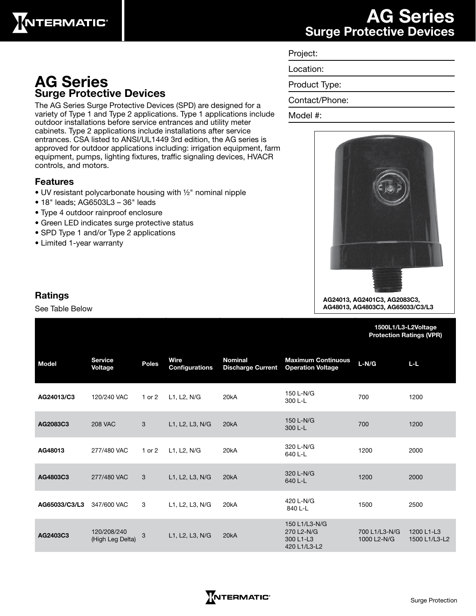

Project:

Location:

Product Type:

## AG Series Surge Protective Devices

The AG Series Surge Protective Devices (SPD) are designed for a variety of Type 1 and Type 2 applications. Type 1 applications include outdoor installations before service entrances and utility meter cabinets. Type 2 applications include installations after service entrances. CSA listed to ANSI/UL1449 3rd edition, the AG series is approved for outdoor applications including: irrigation equipment, farm equipment, pumps, lighting fixtures, traffic signaling devices, HVACR controls, and motors.

#### Features

- UV resistant polycarbonate housing with ½" nominal nipple
- 18" leads; AG6503L3 36" leads
- Type 4 outdoor rainproof enclosure
- Green LED indicates surge protective status
- SPD Type 1 and/or Type 2 applications
- Limited 1-year warranty

# Contact/Phone:





AG24013, AG2401C3, AG2083C3, AG48013, AG4803C3, AG65033/C3/L3

1500L1/L3-L2Voltage

### Ratings

See Table Below

|               |                                 |              |                               |                                            |                                                          | <b>Protection Ratings (VPR)</b> |                             |
|---------------|---------------------------------|--------------|-------------------------------|--------------------------------------------|----------------------------------------------------------|---------------------------------|-----------------------------|
| <b>Model</b>  | <b>Service</b><br>Voltage       | <b>Poles</b> | Wire<br><b>Configurations</b> | <b>Nominal</b><br><b>Discharge Current</b> | <b>Maximum Continuous</b><br><b>Operation Voltage</b>    | $L-N/G$                         | $L-L$                       |
| AG24013/C3    | 120/240 VAC                     | 1 or 2       | L1, L2, N/G                   | 20kA                                       | 150 L-N/G<br>300 L-L                                     | 700                             | 1200                        |
| AG2083C3      | <b>208 VAC</b>                  | 3            | L1, L2, L3, N/G               | 20 <sub>k</sub> A                          | 150 L-N/G<br>300 L-L                                     | 700                             | 1200                        |
| AG48013       | 277/480 VAC                     | $1$ or $2$   | L1, L2, N/G                   | 20 <sub>k</sub> A                          | 320 L-N/G<br>640 L-L                                     | 1200                            | 2000                        |
| AG4803C3      | 277/480 VAC                     | 3            | L1, L2, L3, N/G               | 20 <sub>k</sub> A                          | 320 L-N/G<br>640 L-L                                     | 1200                            | 2000                        |
| AG65033/C3/L3 | 347/600 VAC                     | 3            | L1, L2, L3, N/G               | 20 <sub>k</sub> A                          | 420 L-N/G<br>840 L-L                                     | 1500                            | 2500                        |
| AG2403C3      | 120/208/240<br>(High Leg Delta) | 3            | L1, L2, L3, N/G               | 20 <sub>k</sub> A                          | 150 L1/L3-N/G<br>270 L2-N/G<br>300 L1-L3<br>420 L1/L3-L2 | 700 L1/L3-N/G<br>1000 L2-N/G    | 1200 L1-L3<br>1500 L1/L3-L2 |